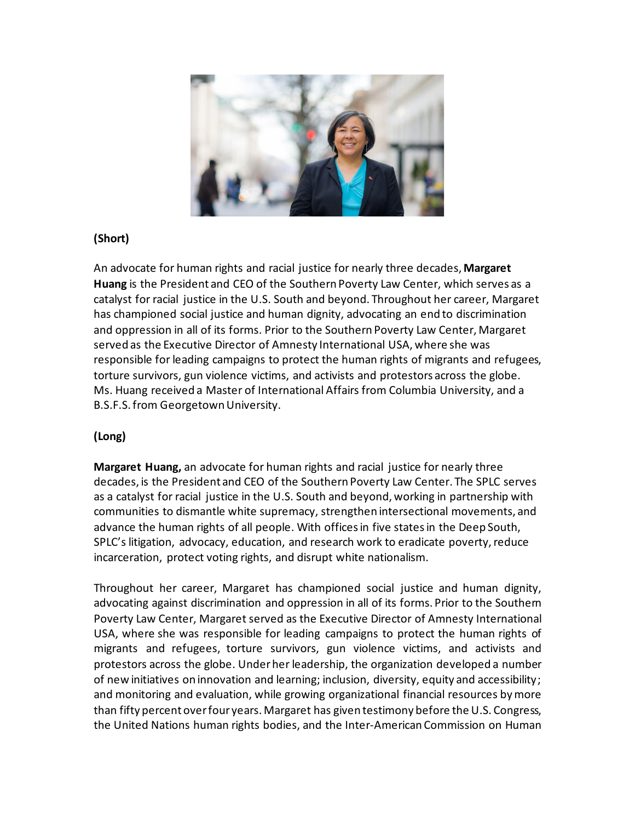

## **(Short)**

An advocate for human rights and racial justice for nearly three decades, **Margaret Huang** is the President and CEO of the Southern Poverty Law Center, which serves as a catalyst for racial justice in the U.S. South and beyond. Throughout her career, Margaret has championed social justice and human dignity, advocating an end to discrimination and oppression in all of its forms. Prior to the Southern Poverty Law Center, Margaret served as the Executive Director of Amnesty International USA, where she was responsible for leading campaigns to protect the human rights of migrants and refugees, torture survivors, gun violence victims, and activists and protestors across the globe. Ms. Huang received a Master of International Affairs from Columbia University, and a B.S.F.S. from Georgetown University.

## **(Long)**

**Margaret Huang,** an advocate for human rights and racial justice for nearly three decades, is the President and CEO of the Southern Poverty Law Center. The SPLC serves as a catalyst for racial justice in the U.S. South and beyond, working in partnership with communities to dismantle white supremacy, strengthen intersectional movements, and advance the human rights of all people. With offices in five states in the Deep South, SPLC's litigation, advocacy, education, and research work to eradicate poverty, reduce incarceration, protect voting rights, and disrupt white nationalism.

Throughout her career, Margaret has championed social justice and human dignity, advocating against discrimination and oppression in all of its forms. Prior to the Southern Poverty Law Center, Margaret served as the Executive Director of Amnesty International USA, where she was responsible for leading campaigns to protect the human rights of migrants and refugees, torture survivors, gun violence victims, and activists and protestors across the globe. Under her leadership, the organization developed a number of new initiatives on innovation and learning; inclusion, diversity, equity and accessibility; and monitoring and evaluation, while growing organizational financial resources by more than fifty percent over four years. Margaret has given testimony before the U.S. Congress, the United Nations human rights bodies, and the Inter-American Commission on Human